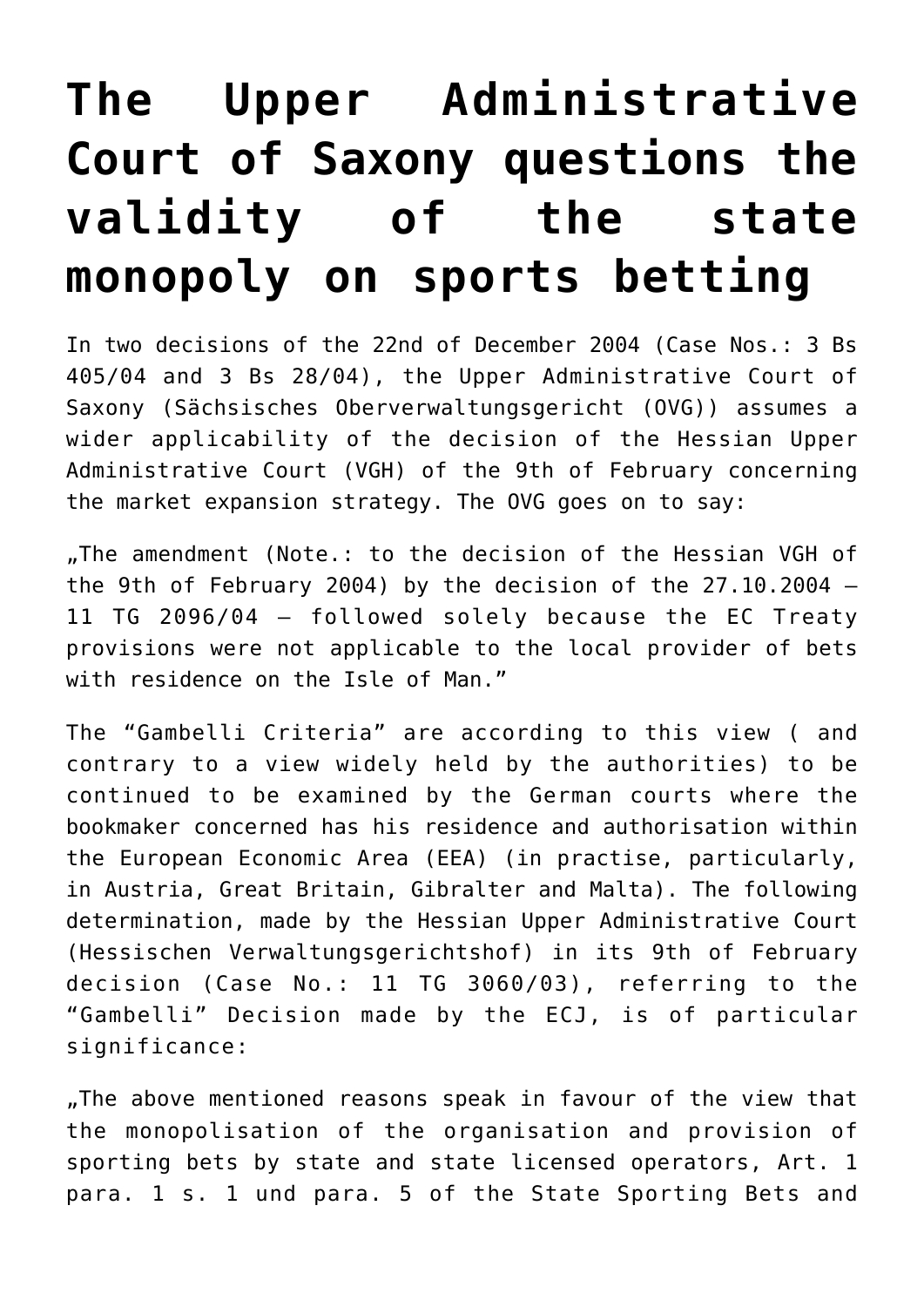## **[The Upper Administrative](https://www.isa-guide.de/english-news/articles/8193.html) [Court of Saxony questions the](https://www.isa-guide.de/english-news/articles/8193.html) [validity of the state](https://www.isa-guide.de/english-news/articles/8193.html) [monopoly on sports betting](https://www.isa-guide.de/english-news/articles/8193.html)**

In two decisions of the 22nd of December 2004 (Case Nos.: 3 Bs 405/04 and 3 Bs 28/04), the Upper Administrative Court of Saxony (Sächsisches Oberverwaltungsgericht (OVG)) assumes a wider applicability of the decision of the Hessian Upper Administrative Court (VGH) of the 9th of February concerning the market expansion strategy. The OVG goes on to say:

"The amendment (Note.: to the decision of the Hessian VGH of the 9th of February 2004) by the decision of the 27.10.2004 – 11 TG 2096/04 – followed solely because the EC Treaty provisions were not applicable to the local provider of bets with residence on the Isle of Man."

The "Gambelli Criteria" are according to this view ( and contrary to a view widely held by the authorities) to be continued to be examined by the German courts where the bookmaker concerned has his residence and authorisation within the European Economic Area (EEA) (in practise, particularly, in Austria, Great Britain, Gibralter and Malta). The following determination, made by the Hessian Upper Administrative Court (Hessischen Verwaltungsgerichtshof) in its 9th of February decision (Case No.: 11 TG 3060/03), referring to the "Gambelli" Decision made by the ECJ, is of particular significance:

"The above mentioned reasons speak in favour of the view that the monopolisation of the organisation and provision of sporting bets by state and state licensed operators, Art. 1 para. 1 s. 1 und para. 5 of the State Sporting Bets and